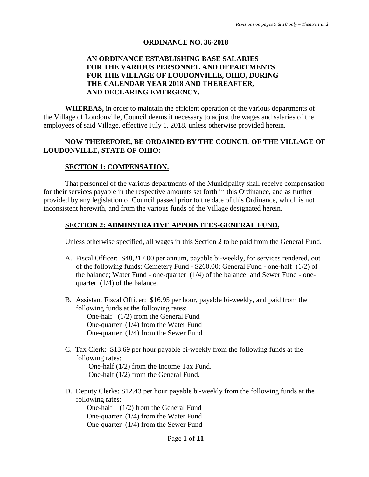#### **ORDINANCE NO. 36-2018**

### **AN ORDINANCE ESTABLISHING BASE SALARIES FOR THE VARIOUS PERSONNEL AND DEPARTMENTS FOR THE VILLAGE OF LOUDONVILLE, OHIO, DURING THE CALENDAR YEAR 2018 AND THEREAFTER, AND DECLARING EMERGENCY.**

**WHEREAS,** in order to maintain the efficient operation of the various departments of the Village of Loudonville, Council deems it necessary to adjust the wages and salaries of the employees of said Village, effective July 1, 2018, unless otherwise provided herein.

#### **NOW THEREFORE, BE ORDAINED BY THE COUNCIL OF THE VILLAGE OF LOUDONVILLE, STATE OF OHIO:**

#### **SECTION 1: COMPENSATION.**

That personnel of the various departments of the Municipality shall receive compensation for their services payable in the respective amounts set forth in this Ordinance, and as further provided by any legislation of Council passed prior to the date of this Ordinance, which is not inconsistent herewith, and from the various funds of the Village designated herein.

#### **SECTION 2: ADMINSTRATIVE APPOINTEES-GENERAL FUND.**

Unless otherwise specified, all wages in this Section 2 to be paid from the General Fund.

- A. Fiscal Officer: \$48,217.00 per annum, payable bi-weekly, for services rendered, out of the following funds: Cemetery Fund - \$260.00; General Fund - one-half (1/2) of the balance; Water Fund - one-quarter (1/4) of the balance; and Sewer Fund - onequarter (1/4) of the balance.
- B. Assistant Fiscal Officer: \$16.95 per hour, payable bi-weekly, and paid from the following funds at the following rates: One-half (1/2) from the General Fund

One-quarter (1/4) from the Water Fund One-quarter (1/4) from the Sewer Fund

C. Tax Clerk: \$13.69 per hour payable bi-weekly from the following funds at the following rates:

 One-half (1/2) from the Income Tax Fund. One-half (1/2) from the General Fund.

D. Deputy Clerks: \$12.43 per hour payable bi-weekly from the following funds at the following rates:

One-half (1/2) from the General Fund One-quarter (1/4) from the Water Fund One-quarter (1/4) from the Sewer Fund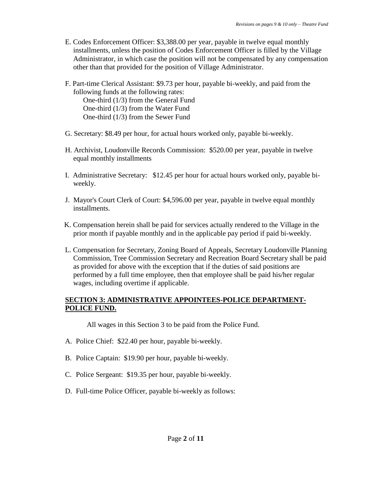- E. Codes Enforcement Officer: \$3,388.00 per year, payable in twelve equal monthly installments, unless the position of Codes Enforcement Officer is filled by the Village Administrator, in which case the position will not be compensated by any compensation other than that provided for the position of Village Administrator.
- F. Part-time Clerical Assistant: \$9.73 per hour, payable bi-weekly, and paid from the following funds at the following rates: One-third (1/3) from the General Fund One-third (1/3) from the Water Fund

One-third (1/3) from the Sewer Fund

- G. Secretary: \$8.49 per hour, for actual hours worked only, payable bi-weekly.
- H. Archivist, Loudonville Records Commission: \$520.00 per year, payable in twelve equal monthly installments
- I. Administrative Secretary: \$12.45 per hour for actual hours worked only, payable biweekly.
- J. Mayor's Court Clerk of Court: \$4,596.00 per year, payable in twelve equal monthly installments.
- K. Compensation herein shall be paid for services actually rendered to the Village in the prior month if payable monthly and in the applicable pay period if paid bi-weekly.
- L. Compensation for Secretary, Zoning Board of Appeals, Secretary Loudonville Planning Commission, Tree Commission Secretary and Recreation Board Secretary shall be paid as provided for above with the exception that if the duties of said positions are performed by a full time employee, then that employee shall be paid his/her regular wages, including overtime if applicable.

# **SECTION 3: ADMINISTRATIVE APPOINTEES-POLICE DEPARTMENT-POLICE FUND.**

All wages in this Section 3 to be paid from the Police Fund.

- A. Police Chief: \$22.40 per hour, payable bi-weekly.
- B. Police Captain: \$19.90 per hour, payable bi-weekly.
- C. Police Sergeant: \$19.35 per hour, payable bi-weekly.
- D. Full-time Police Officer, payable bi-weekly as follows: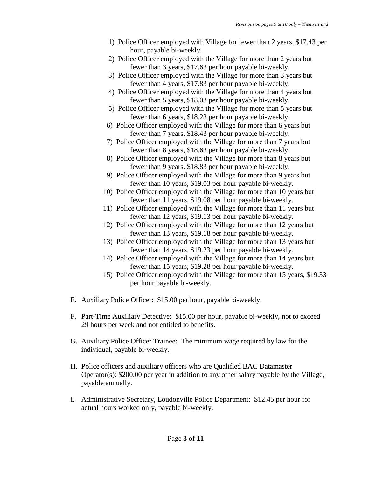- 1) Police Officer employed with Village for fewer than 2 years, \$17.43 per hour, payable bi-weekly.
- 2) Police Officer employed with the Village for more than 2 years but fewer than 3 years, \$17.63 per hour payable bi-weekly.
- 3) Police Officer employed with the Village for more than 3 years but fewer than 4 years, \$17.83 per hour payable bi-weekly.
- 4) Police Officer employed with the Village for more than 4 years but fewer than 5 years, \$18.03 per hour payable bi-weekly.
- 5) Police Officer employed with the Village for more than 5 years but fewer than 6 years, \$18.23 per hour payable bi-weekly.
- 6) Police Officer employed with the Village for more than 6 years but fewer than 7 years, \$18.43 per hour payable bi-weekly.
- 7) Police Officer employed with the Village for more than 7 years but fewer than 8 years, \$18.63 per hour payable bi-weekly.
- 8) Police Officer employed with the Village for more than 8 years but fewer than 9 years, \$18.83 per hour payable bi-weekly.
- 9) Police Officer employed with the Village for more than 9 years but fewer than 10 years, \$19.03 per hour payable bi-weekly.
- 10) Police Officer employed with the Village for more than 10 years but fewer than 11 years, \$19.08 per hour payable bi-weekly.
- 11) Police Officer employed with the Village for more than 11 years but fewer than 12 years, \$19.13 per hour payable bi-weekly.
- 12) Police Officer employed with the Village for more than 12 years but fewer than 13 years, \$19.18 per hour payable bi-weekly.
- 13) Police Officer employed with the Village for more than 13 years but fewer than 14 years, \$19.23 per hour payable bi-weekly.
- 14) Police Officer employed with the Village for more than 14 years but fewer than 15 years, \$19.28 per hour payable bi-weekly.
- 15) Police Officer employed with the Village for more than 15 years, \$19.33 per hour payable bi-weekly.
- E. Auxiliary Police Officer: \$15.00 per hour, payable bi-weekly.
- F. Part-Time Auxiliary Detective: \$15.00 per hour, payable bi-weekly, not to exceed 29 hours per week and not entitled to benefits.
- G. Auxiliary Police Officer Trainee: The minimum wage required by law for the individual, payable bi-weekly.
- H. Police officers and auxiliary officers who are Qualified BAC Datamaster Operator(s): \$200.00 per year in addition to any other salary payable by the Village, payable annually.
- I. Administrative Secretary, Loudonville Police Department: \$12.45 per hour for actual hours worked only, payable bi-weekly.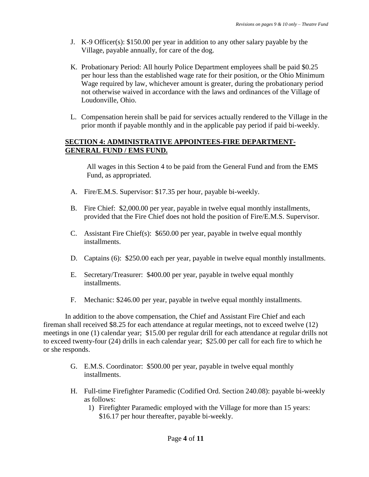- J. K-9 Officer(s): \$150.00 per year in addition to any other salary payable by the Village, payable annually, for care of the dog.
- K. Probationary Period: All hourly Police Department employees shall be paid \$0.25 per hour less than the established wage rate for their position, or the Ohio Minimum Wage required by law, whichever amount is greater, during the probationary period not otherwise waived in accordance with the laws and ordinances of the Village of Loudonville, Ohio.
- L. Compensation herein shall be paid for services actually rendered to the Village in the prior month if payable monthly and in the applicable pay period if paid bi-weekly.

### **SECTION 4: ADMINISTRATIVE APPOINTEES-FIRE DEPARTMENT-GENERAL FUND / EMS FUND.**

All wages in this Section 4 to be paid from the General Fund and from the EMS Fund, as appropriated.

- A. Fire/E.M.S. Supervisor: \$17.35 per hour, payable bi-weekly.
- B. Fire Chief: \$2,000.00 per year, payable in twelve equal monthly installments, provided that the Fire Chief does not hold the position of Fire/E.M.S. Supervisor.
- C. Assistant Fire Chief(s): \$650.00 per year, payable in twelve equal monthly installments.
- D. Captains (6): \$250.00 each per year, payable in twelve equal monthly installments.
- E. Secretary/Treasurer: \$400.00 per year, payable in twelve equal monthly installments.
- F. Mechanic: \$246.00 per year, payable in twelve equal monthly installments.

In addition to the above compensation, the Chief and Assistant Fire Chief and each fireman shall received \$8.25 for each attendance at regular meetings, not to exceed twelve (12) meetings in one (1) calendar year; \$15.00 per regular drill for each attendance at regular drills not to exceed twenty-four (24) drills in each calendar year; \$25.00 per call for each fire to which he or she responds.

- G. E.M.S. Coordinator: \$500.00 per year, payable in twelve equal monthly installments.
- H. Full-time Firefighter Paramedic (Codified Ord. Section 240.08): payable bi-weekly as follows:
	- 1) Firefighter Paramedic employed with the Village for more than 15 years: \$16.17 per hour thereafter, payable bi-weekly.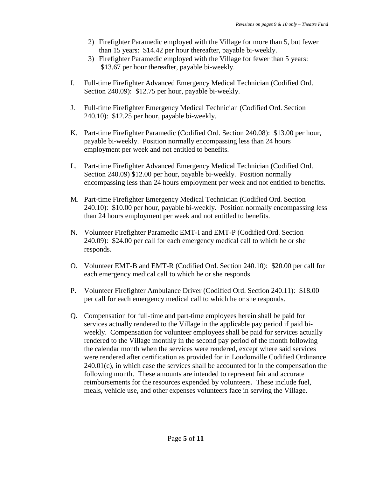- 2) Firefighter Paramedic employed with the Village for more than 5, but fewer than 15 years: \$14.42 per hour thereafter, payable bi-weekly.
- 3) Firefighter Paramedic employed with the Village for fewer than 5 years: \$13.67 per hour thereafter, payable bi-weekly.
- I. Full-time Firefighter Advanced Emergency Medical Technician (Codified Ord. Section 240.09): \$12.75 per hour, payable bi-weekly.
- J. Full-time Firefighter Emergency Medical Technician (Codified Ord. Section 240.10): \$12.25 per hour, payable bi-weekly.
- K. Part-time Firefighter Paramedic (Codified Ord. Section 240.08): \$13.00 per hour, payable bi-weekly. Position normally encompassing less than 24 hours employment per week and not entitled to benefits.
- L. Part-time Firefighter Advanced Emergency Medical Technician (Codified Ord. Section 240.09) \$12.00 per hour, payable bi-weekly. Position normally encompassing less than 24 hours employment per week and not entitled to benefits.
- M. Part-time Firefighter Emergency Medical Technician (Codified Ord. Section 240.10): \$10.00 per hour, payable bi-weekly. Position normally encompassing less than 24 hours employment per week and not entitled to benefits.
- N. Volunteer Firefighter Paramedic EMT-I and EMT-P (Codified Ord. Section 240.09): \$24.00 per call for each emergency medical call to which he or she responds.
- O. Volunteer EMT-B and EMT-R (Codified Ord. Section 240.10): \$20.00 per call for each emergency medical call to which he or she responds.
- P. Volunteer Firefighter Ambulance Driver (Codified Ord. Section 240.11): \$18.00 per call for each emergency medical call to which he or she responds.
- Q. Compensation for full-time and part-time employees herein shall be paid for services actually rendered to the Village in the applicable pay period if paid biweekly. Compensation for volunteer employees shall be paid for services actually rendered to the Village monthly in the second pay period of the month following the calendar month when the services were rendered, except where said services were rendered after certification as provided for in Loudonville Codified Ordinance  $240.01(c)$ , in which case the services shall be accounted for in the compensation the following month. These amounts are intended to represent fair and accurate reimbursements for the resources expended by volunteers. These include fuel, meals, vehicle use, and other expenses volunteers face in serving the Village.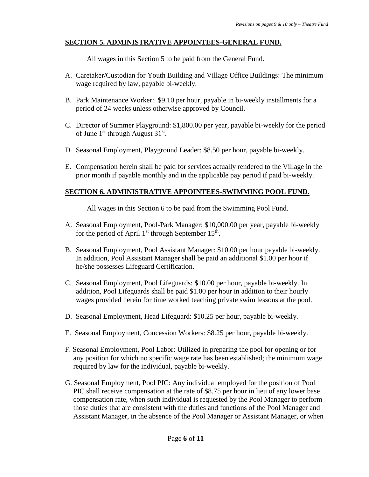# **SECTION 5. ADMINISTRATIVE APPOINTEES-GENERAL FUND.**

All wages in this Section 5 to be paid from the General Fund.

- A. Caretaker/Custodian for Youth Building and Village Office Buildings: The minimum wage required by law, payable bi-weekly.
- B. Park Maintenance Worker: \$9.10 per hour, payable in bi-weekly installments for a period of 24 weeks unless otherwise approved by Council.
- C. Director of Summer Playground: \$1,800.00 per year, payable bi-weekly for the period of June  $1<sup>st</sup>$  through August  $31<sup>st</sup>$ .
- D. Seasonal Employment, Playground Leader: \$8.50 per hour, payable bi-weekly.
- E. Compensation herein shall be paid for services actually rendered to the Village in the prior month if payable monthly and in the applicable pay period if paid bi-weekly.

# **SECTION 6. ADMINISTRATIVE APPOINTEES-SWIMMING POOL FUND.**

All wages in this Section 6 to be paid from the Swimming Pool Fund.

- A. Seasonal Employment, Pool-Park Manager: \$10,000.00 per year, payable bi-weekly for the period of April  $1<sup>st</sup>$  through September  $15<sup>th</sup>$ .
- B. Seasonal Employment, Pool Assistant Manager: \$10.00 per hour payable bi-weekly. In addition, Pool Assistant Manager shall be paid an additional \$1.00 per hour if he/she possesses Lifeguard Certification.
- C. Seasonal Employment, Pool Lifeguards: \$10.00 per hour, payable bi-weekly. In addition, Pool Lifeguards shall be paid \$1.00 per hour in addition to their hourly wages provided herein for time worked teaching private swim lessons at the pool.
- D. Seasonal Employment, Head Lifeguard: \$10.25 per hour, payable bi-weekly.
- E. Seasonal Employment, Concession Workers: \$8.25 per hour, payable bi-weekly.
- F. Seasonal Employment, Pool Labor: Utilized in preparing the pool for opening or for any position for which no specific wage rate has been established; the minimum wage required by law for the individual, payable bi-weekly.
- G. Seasonal Employment, Pool PIC: Any individual employed for the position of Pool PIC shall receive compensation at the rate of \$8.75 per hour in lieu of any lower base compensation rate, when such individual is requested by the Pool Manager to perform those duties that are consistent with the duties and functions of the Pool Manager and Assistant Manager, in the absence of the Pool Manager or Assistant Manager, or when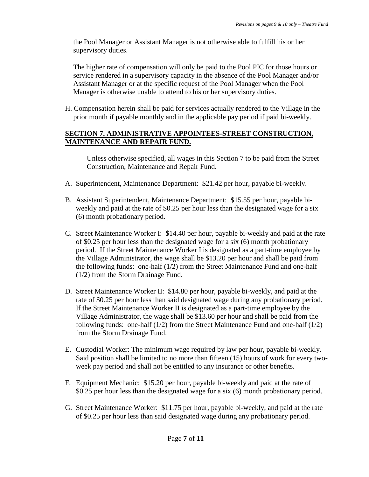the Pool Manager or Assistant Manager is not otherwise able to fulfill his or her supervisory duties.

The higher rate of compensation will only be paid to the Pool PIC for those hours or service rendered in a supervisory capacity in the absence of the Pool Manager and/or Assistant Manager or at the specific request of the Pool Manager when the Pool Manager is otherwise unable to attend to his or her supervisory duties.

H. Compensation herein shall be paid for services actually rendered to the Village in the prior month if payable monthly and in the applicable pay period if paid bi-weekly.

### **SECTION 7. ADMINISTRATIVE APPOINTEES-STREET CONSTRUCTION, MAINTENANCE AND REPAIR FUND.**

Unless otherwise specified, all wages in this Section 7 to be paid from the Street Construction, Maintenance and Repair Fund.

- A. Superintendent, Maintenance Department: \$21.42 per hour, payable bi-weekly.
- B. Assistant Superintendent, Maintenance Department: \$15.55 per hour, payable biweekly and paid at the rate of \$0.25 per hour less than the designated wage for a six (6) month probationary period.
- C. Street Maintenance Worker I: \$14.40 per hour, payable bi-weekly and paid at the rate of \$0.25 per hour less than the designated wage for a six (6) month probationary period. If the Street Maintenance Worker I is designated as a part-time employee by the Village Administrator, the wage shall be \$13.20 per hour and shall be paid from the following funds: one-half (1/2) from the Street Maintenance Fund and one-half (1/2) from the Storm Drainage Fund.
- D. Street Maintenance Worker II: \$14.80 per hour, payable bi-weekly, and paid at the rate of \$0.25 per hour less than said designated wage during any probationary period. If the Street Maintenance Worker II is designated as a part-time employee by the Village Administrator, the wage shall be \$13.60 per hour and shall be paid from the following funds: one-half (1/2) from the Street Maintenance Fund and one-half (1/2) from the Storm Drainage Fund.
- E. Custodial Worker: The minimum wage required by law per hour, payable bi-weekly. Said position shall be limited to no more than fifteen (15) hours of work for every twoweek pay period and shall not be entitled to any insurance or other benefits.
- F. Equipment Mechanic: \$15.20 per hour, payable bi-weekly and paid at the rate of \$0.25 per hour less than the designated wage for a six (6) month probationary period.
- G. Street Maintenance Worker: \$11.75 per hour, payable bi-weekly, and paid at the rate of \$0.25 per hour less than said designated wage during any probationary period.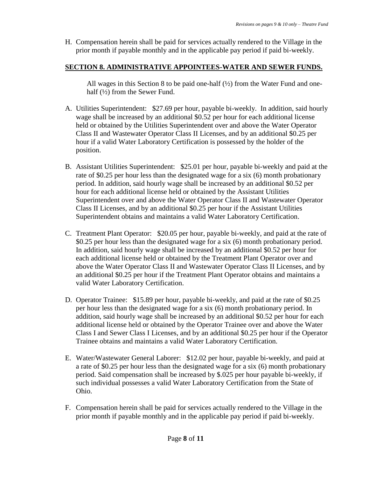H. Compensation herein shall be paid for services actually rendered to the Village in the prior month if payable monthly and in the applicable pay period if paid bi-weekly.

# **SECTION 8. ADMINISTRATIVE APPOINTEES-WATER AND SEWER FUNDS.**

All wages in this Section 8 to be paid one-half  $(1/2)$  from the Water Fund and onehalf (½) from the Sewer Fund.

- A. Utilities Superintendent: \$27.69 per hour, payable bi-weekly. In addition, said hourly wage shall be increased by an additional \$0.52 per hour for each additional license held or obtained by the Utilities Superintendent over and above the Water Operator Class II and Wastewater Operator Class II Licenses, and by an additional \$0.25 per hour if a valid Water Laboratory Certification is possessed by the holder of the position.
- B. Assistant Utilities Superintendent: \$25.01 per hour, payable bi-weekly and paid at the rate of \$0.25 per hour less than the designated wage for a six (6) month probationary period. In addition, said hourly wage shall be increased by an additional \$0.52 per hour for each additional license held or obtained by the Assistant Utilities Superintendent over and above the Water Operator Class II and Wastewater Operator Class II Licenses, and by an additional \$0.25 per hour if the Assistant Utilities Superintendent obtains and maintains a valid Water Laboratory Certification.
- C. Treatment Plant Operator: \$20.05 per hour, payable bi-weekly, and paid at the rate of \$0.25 per hour less than the designated wage for a six (6) month probationary period. In addition, said hourly wage shall be increased by an additional \$0.52 per hour for each additional license held or obtained by the Treatment Plant Operator over and above the Water Operator Class II and Wastewater Operator Class II Licenses, and by an additional \$0.25 per hour if the Treatment Plant Operator obtains and maintains a valid Water Laboratory Certification.
- D. Operator Trainee: \$15.89 per hour, payable bi-weekly, and paid at the rate of \$0.25 per hour less than the designated wage for a six (6) month probationary period. In addition, said hourly wage shall be increased by an additional \$0.52 per hour for each additional license held or obtained by the Operator Trainee over and above the Water Class I and Sewer Class I Licenses, and by an additional \$0.25 per hour if the Operator Trainee obtains and maintains a valid Water Laboratory Certification.
- E. Water/Wastewater General Laborer: \$12.02 per hour, payable bi-weekly, and paid at a rate of \$0.25 per hour less than the designated wage for a six (6) month probationary period. Said compensation shall be increased by \$.025 per hour payable bi-weekly, if such individual possesses a valid Water Laboratory Certification from the State of Ohio.
- F. Compensation herein shall be paid for services actually rendered to the Village in the prior month if payable monthly and in the applicable pay period if paid bi-weekly.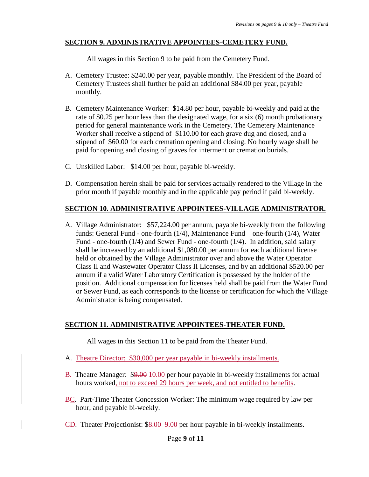# **SECTION 9. ADMINISTRATIVE APPOINTEES-CEMETERY FUND.**

All wages in this Section 9 to be paid from the Cemetery Fund.

- A. Cemetery Trustee: \$240.00 per year, payable monthly. The President of the Board of Cemetery Trustees shall further be paid an additional \$84.00 per year, payable monthly.
- B. Cemetery Maintenance Worker: \$14.80 per hour, payable bi-weekly and paid at the rate of \$0.25 per hour less than the designated wage, for a six (6) month probationary period for general maintenance work in the Cemetery. The Cemetery Maintenance Worker shall receive a stipend of \$110.00 for each grave dug and closed, and a stipend of \$60.00 for each cremation opening and closing. No hourly wage shall be paid for opening and closing of graves for interment or cremation burials.
- C. Unskilled Labor: \$14.00 per hour, payable bi-weekly.
- D. Compensation herein shall be paid for services actually rendered to the Village in the prior month if payable monthly and in the applicable pay period if paid bi-weekly.

# **SECTION 10. ADMINISTRATIVE APPOINTEES-VILLAGE ADMINISTRATOR.**

A. Village Administrator: \$57,224.00 per annum, payable bi-weekly from the following funds: General Fund - one-fourth (1/4), Maintenance Fund – one-fourth (1/4), Water Fund - one-fourth (1/4) and Sewer Fund - one-fourth (1/4). In addition, said salary shall be increased by an additional \$1,080.00 per annum for each additional license held or obtained by the Village Administrator over and above the Water Operator Class II and Wastewater Operator Class II Licenses, and by an additional \$520.00 per annum if a valid Water Laboratory Certification is possessed by the holder of the position. Additional compensation for licenses held shall be paid from the Water Fund or Sewer Fund, as each corresponds to the license or certification for which the Village Administrator is being compensated.

# **SECTION 11. ADMINISTRATIVE APPOINTEES-THEATER FUND.**

All wages in this Section 11 to be paid from the Theater Fund.

- A. Theatre Director: \$30,000 per year payable in bi-weekly installments.
- B. Theatre Manager: \$9.00 10.00 per hour payable in bi-weekly installments for actual hours worked, not to exceed 29 hours per week, and not entitled to benefits.
- BC. Part-Time Theater Concession Worker: The minimum wage required by law per hour, and payable bi-weekly.
- CD. Theater Projectionist: \$8.00 9.00 per hour payable in bi-weekly installments.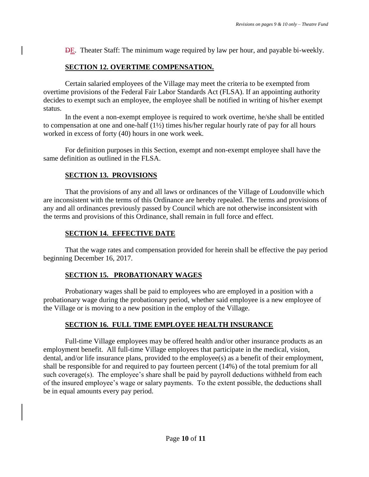DE. Theater Staff: The minimum wage required by law per hour, and payable bi-weekly.

# **SECTION 12. OVERTIME COMPENSATION.**

Certain salaried employees of the Village may meet the criteria to be exempted from overtime provisions of the Federal Fair Labor Standards Act (FLSA). If an appointing authority decides to exempt such an employee, the employee shall be notified in writing of his/her exempt status.

In the event a non-exempt employee is required to work overtime, he/she shall be entitled to compensation at one and one-half (1½) times his/her regular hourly rate of pay for all hours worked in excess of forty (40) hours in one work week.

For definition purposes in this Section, exempt and non-exempt employee shall have the same definition as outlined in the FLSA.

# **SECTION 13. PROVISIONS**

That the provisions of any and all laws or ordinances of the Village of Loudonville which are inconsistent with the terms of this Ordinance are hereby repealed. The terms and provisions of any and all ordinances previously passed by Council which are not otherwise inconsistent with the terms and provisions of this Ordinance, shall remain in full force and effect.

# **SECTION 14. EFFECTIVE DATE**

That the wage rates and compensation provided for herein shall be effective the pay period beginning December 16, 2017.

# **SECTION 15. PROBATIONARY WAGES**

Probationary wages shall be paid to employees who are employed in a position with a probationary wage during the probationary period, whether said employee is a new employee of the Village or is moving to a new position in the employ of the Village.

# **SECTION 16. FULL TIME EMPLOYEE HEALTH INSURANCE**

Full-time Village employees may be offered health and/or other insurance products as an employment benefit. All full-time Village employees that participate in the medical, vision, dental, and/or life insurance plans, provided to the employee(s) as a benefit of their employment, shall be responsible for and required to pay fourteen percent (14%) of the total premium for all such coverage(s). The employee's share shall be paid by payroll deductions withheld from each of the insured employee's wage or salary payments. To the extent possible, the deductions shall be in equal amounts every pay period.